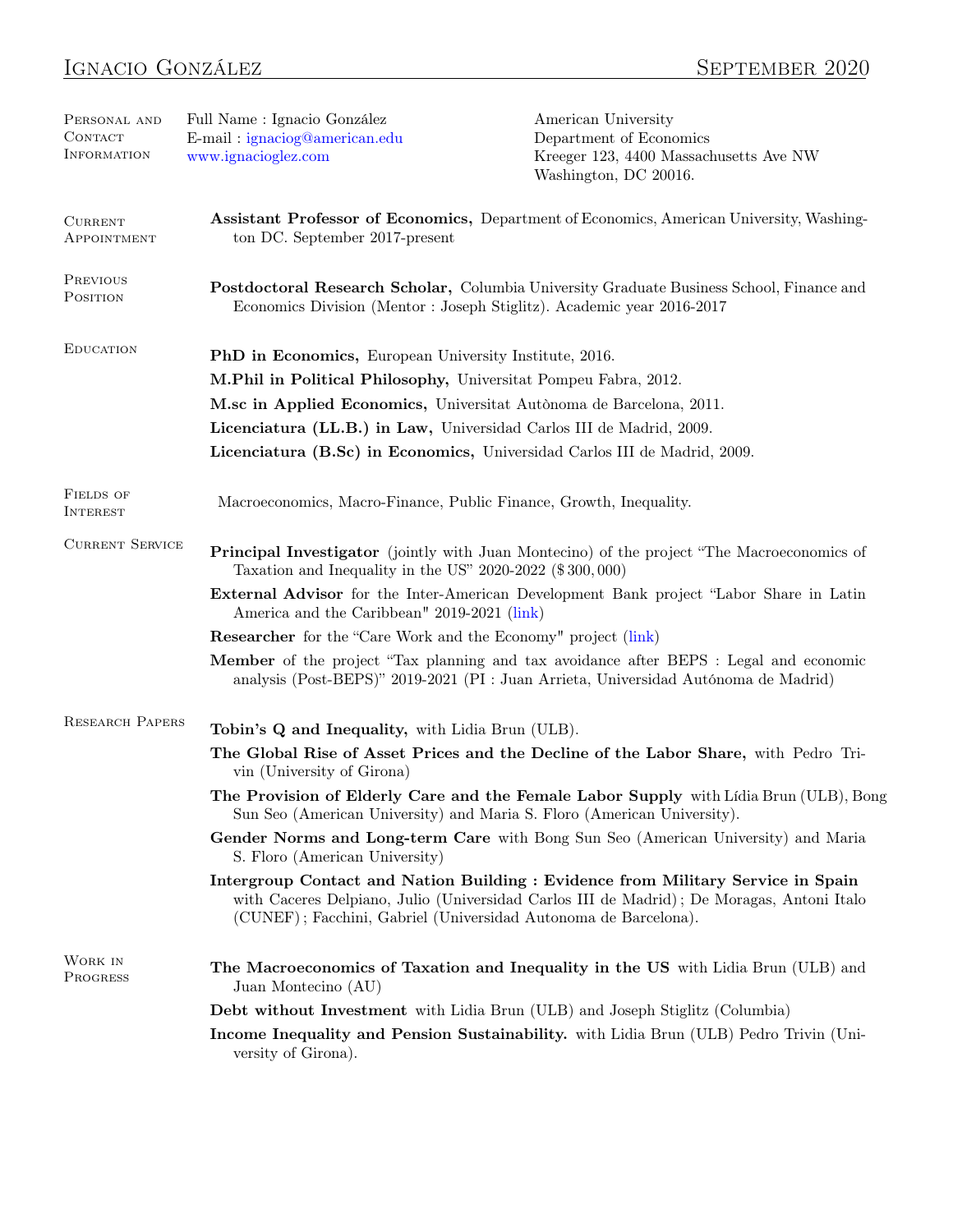| PERSONAL AND<br>CONTACT<br>INFORMATION | Full Name : Ignacio González<br>E-mail: ignaciog@american.edu<br>www.ignacioglez.com                                                                              | American University<br>Department of Economics<br>Kreeger 123, 4400 Massachusetts Ave NW<br>Washington, DC 20016.                                                                                                                                |
|----------------------------------------|-------------------------------------------------------------------------------------------------------------------------------------------------------------------|--------------------------------------------------------------------------------------------------------------------------------------------------------------------------------------------------------------------------------------------------|
| <b>CURRENT</b><br>APPOINTMENT          | Assistant Professor of Economics, Department of Economics, American University, Washing-<br>ton DC. September 2017-present                                        |                                                                                                                                                                                                                                                  |
| PREVIOUS<br>POSITION                   | Postdoctoral Research Scholar, Columbia University Graduate Business School, Finance and<br>Economics Division (Mentor: Joseph Stiglitz). Academic year 2016-2017 |                                                                                                                                                                                                                                                  |
| <b>EDUCATION</b>                       | PhD in Economics, European University Institute, 2016.                                                                                                            |                                                                                                                                                                                                                                                  |
|                                        | M.Phil in Political Philosophy, Universitat Pompeu Fabra, 2012.                                                                                                   |                                                                                                                                                                                                                                                  |
|                                        |                                                                                                                                                                   | M.sc in Applied Economics, Universitat Autònoma de Barcelona, 2011.                                                                                                                                                                              |
|                                        |                                                                                                                                                                   | Licenciatura (LL.B.) in Law, Universidad Carlos III de Madrid, 2009.                                                                                                                                                                             |
|                                        |                                                                                                                                                                   | Licenciatura (B.Sc) in Economics, Universidad Carlos III de Madrid, 2009.                                                                                                                                                                        |
| <b>FIELDS OF</b><br>INTEREST           | Macroeconomics, Macro-Finance, Public Finance, Growth, Inequality.                                                                                                |                                                                                                                                                                                                                                                  |
| <b>CURRENT SERVICE</b>                 | Taxation and Inequality in the US" $2020-2022$ (\$300,000)                                                                                                        | <b>Principal Investigator</b> (jointly with Juan Montecino) of the project "The Macroeconomics of                                                                                                                                                |
|                                        | <b>External Advisor</b> for the Inter-American Development Bank project "Labor Share in Latin<br>America and the Caribbean" 2019-2021 (link)                      |                                                                                                                                                                                                                                                  |
|                                        | <b>Researcher</b> for the "Care Work and the Economy" project (link)                                                                                              |                                                                                                                                                                                                                                                  |
|                                        |                                                                                                                                                                   | Member of the project "Tax planning and tax avoidance after BEPS : Legal and economic<br>analysis (Post-BEPS)" 2019-2021 (PI : Juan Arrieta, Universidad Autónoma de Madrid)                                                                     |
| <b>RESEARCH PAPERS</b>                 | Tobin's Q and Inequality, with Lidia Brun (ULB).                                                                                                                  |                                                                                                                                                                                                                                                  |
|                                        | vin (University of Girona)                                                                                                                                        | The Global Rise of Asset Prices and the Decline of the Labor Share, with Pedro Tri-                                                                                                                                                              |
|                                        |                                                                                                                                                                   | The Provision of Elderly Care and the Female Labor Supply with Lídia Brun (ULB), Bong<br>Sun Seo (American University) and Maria S. Floro (American University).                                                                                 |
|                                        | S. Floro (American University)                                                                                                                                    | Gender Norms and Long-term Care with Bong Sun Seo (American University) and Maria                                                                                                                                                                |
|                                        |                                                                                                                                                                   | Intergroup Contact and Nation Building : Evidence from Military Service in Spain<br>with Caceres Delpiano, Julio (Universidad Carlos III de Madrid); De Moragas, Antoni Italo<br>(CUNEF); Facchini, Gabriel (Universidad Autonoma de Barcelona). |
| WORK IN<br><b>PROGRESS</b>             | Juan Montecino (AU)                                                                                                                                               | The Macroeconomics of Taxation and Inequality in the US with Lidia Brun (ULB) and                                                                                                                                                                |
|                                        |                                                                                                                                                                   | <b>Debt without Investment</b> with Lidia Brun (ULB) and Joseph Stiglitz (Columbia)                                                                                                                                                              |
|                                        | versity of Girona).                                                                                                                                               | Income Inequality and Pension Sustainability. with Lidia Brun (ULB) Pedro Trivin (Uni-                                                                                                                                                           |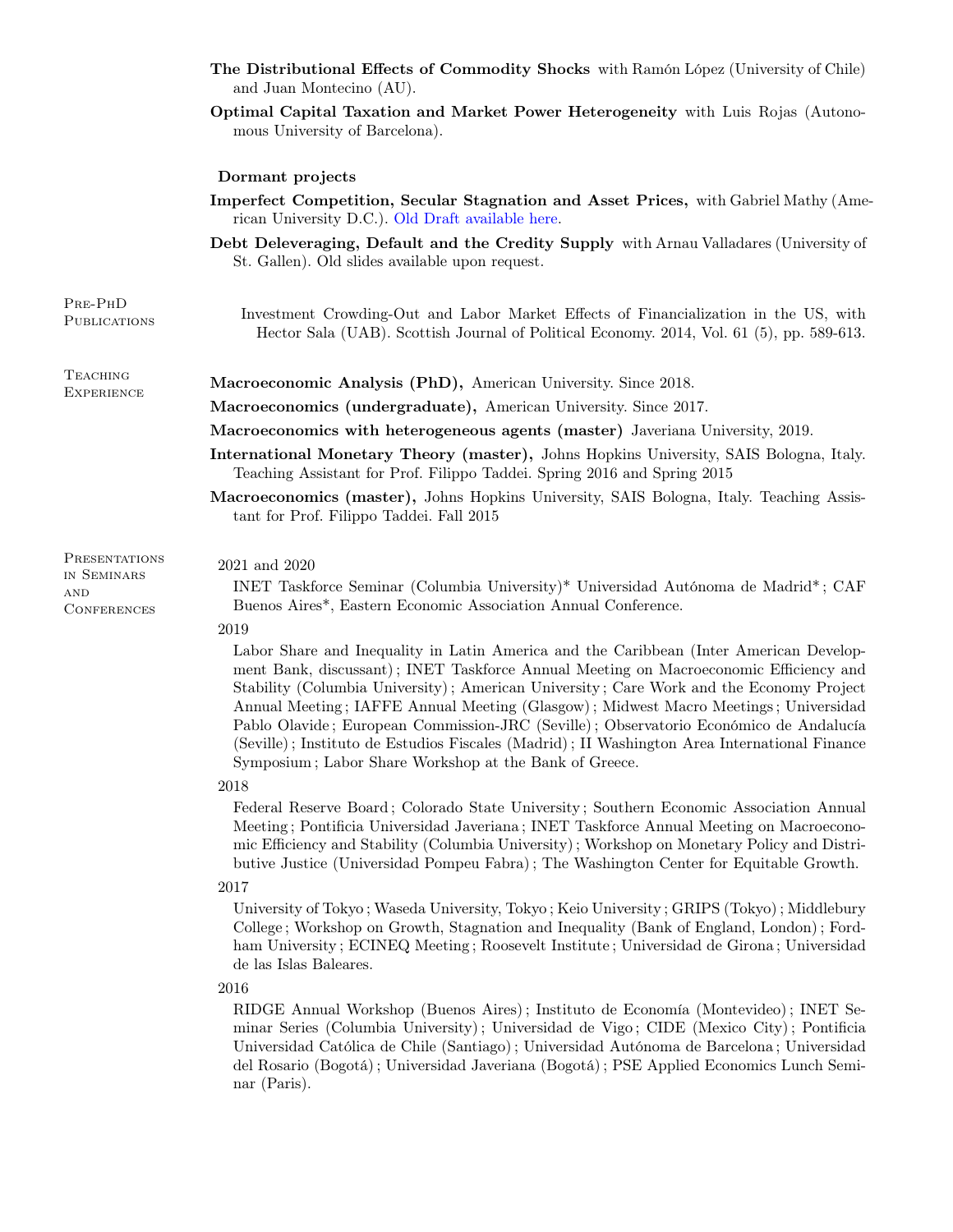|                                                           | The Distributional Effects of Commodity Shocks with Ramón López (University of Chile)<br>and Juan Montecino (AU).                                                                                                                                                                                                                                                                                                                                                                                                                                                                                                            |  |
|-----------------------------------------------------------|------------------------------------------------------------------------------------------------------------------------------------------------------------------------------------------------------------------------------------------------------------------------------------------------------------------------------------------------------------------------------------------------------------------------------------------------------------------------------------------------------------------------------------------------------------------------------------------------------------------------------|--|
|                                                           | Optimal Capital Taxation and Market Power Heterogeneity with Luis Rojas (Autono-<br>mous University of Barcelona).                                                                                                                                                                                                                                                                                                                                                                                                                                                                                                           |  |
|                                                           | Dormant projects                                                                                                                                                                                                                                                                                                                                                                                                                                                                                                                                                                                                             |  |
|                                                           | Imperfect Competition, Secular Stagnation and Asset Prices, with Gabriel Mathy (Ame-<br>rican University D.C.). Old Draft available here.                                                                                                                                                                                                                                                                                                                                                                                                                                                                                    |  |
|                                                           | Debt Deleveraging, Default and the Credity Supply with Arnau Valladares (University of<br>St. Gallen). Old slides available upon request.                                                                                                                                                                                                                                                                                                                                                                                                                                                                                    |  |
| PRE-PHD<br><b>PUBLICATIONS</b>                            | Investment Crowding-Out and Labor Market Effects of Financialization in the US, with<br>Hector Sala (UAB). Scottish Journal of Political Economy. 2014, Vol. 61 (5), pp. 589-613.                                                                                                                                                                                                                                                                                                                                                                                                                                            |  |
| <b>TEACHING</b><br><b>EXPERIENCE</b>                      | Macroeconomic Analysis (PhD), American University. Since 2018.                                                                                                                                                                                                                                                                                                                                                                                                                                                                                                                                                               |  |
|                                                           | Macroeconomics (undergraduate), American University. Since 2017.                                                                                                                                                                                                                                                                                                                                                                                                                                                                                                                                                             |  |
|                                                           | Macroeconomics with heterogeneous agents (master) Javeriana University, 2019.                                                                                                                                                                                                                                                                                                                                                                                                                                                                                                                                                |  |
|                                                           | International Monetary Theory (master), Johns Hopkins University, SAIS Bologna, Italy.<br>Teaching Assistant for Prof. Filippo Taddei. Spring 2016 and Spring 2015                                                                                                                                                                                                                                                                                                                                                                                                                                                           |  |
|                                                           | Macroeconomics (master), Johns Hopkins University, SAIS Bologna, Italy. Teaching Assis-<br>tant for Prof. Filippo Taddei. Fall 2015                                                                                                                                                                                                                                                                                                                                                                                                                                                                                          |  |
| PRESENTATIONS<br>IN SEMINARS<br>AND<br><b>CONFERENCES</b> | 2021 and 2020<br>INET Taskforce Seminar (Columbia University)* Universidad Autónoma de Madrid*; CAF<br>Buenos Aires*, Eastern Economic Association Annual Conference.                                                                                                                                                                                                                                                                                                                                                                                                                                                        |  |
|                                                           | 2019<br>Labor Share and Inequality in Latin America and the Caribbean (Inter American Develop-<br>ment Bank, discussant); INET Taskforce Annual Meeting on Macroeconomic Efficiency and<br>Stability (Columbia University); American University; Care Work and the Economy Project<br>Annual Meeting; IAFFE Annual Meeting (Glasgow); Midwest Macro Meetings; Universidad<br>Pablo Olavide; European Commission-JRC (Seville); Observatorio Económico de Andalucía<br>(Seville); Instituto de Estudios Fiscales (Madrid); II Washington Area International Finance<br>Symposium; Labor Share Workshop at the Bank of Greece. |  |
|                                                           | 2018<br>Federal Reserve Board; Colorado State University; Southern Economic Association Annual<br>Meeting; Pontificia Universidad Javeriana; INET Taskforce Annual Meeting on Macroecono-<br>mic Efficiency and Stability (Columbia University); Workshop on Monetary Policy and Distri-<br>butive Justice (Universidad Pompeu Fabra); The Washington Center for Equitable Growth.                                                                                                                                                                                                                                           |  |
|                                                           | 2017<br>University of Tokyo; Waseda University, Tokyo; Keio University; GRIPS (Tokyo); Middlebury<br>College; Workshop on Growth, Stagnation and Inequality (Bank of England, London); Ford-<br>ham University; ECINEQ Meeting; Roosevelt Institute; Universidad de Girona; Universidad<br>de las Islas Baleares.                                                                                                                                                                                                                                                                                                            |  |
|                                                           | 2016<br>RIDGE Annual Workshop (Buenos Aires); Instituto de Economía (Montevideo); INET Se-<br>minar Series (Columbia University); Universidad de Vigo; CIDE (Mexico City); Pontificia<br>Universidad Católica de Chile (Santiago); Universidad Autónoma de Barcelona; Universidad<br>del Rosario (Bogotá); Universidad Javeriana (Bogotá); PSE Applied Economics Lunch Semi-<br>nar (Paris).                                                                                                                                                                                                                                 |  |